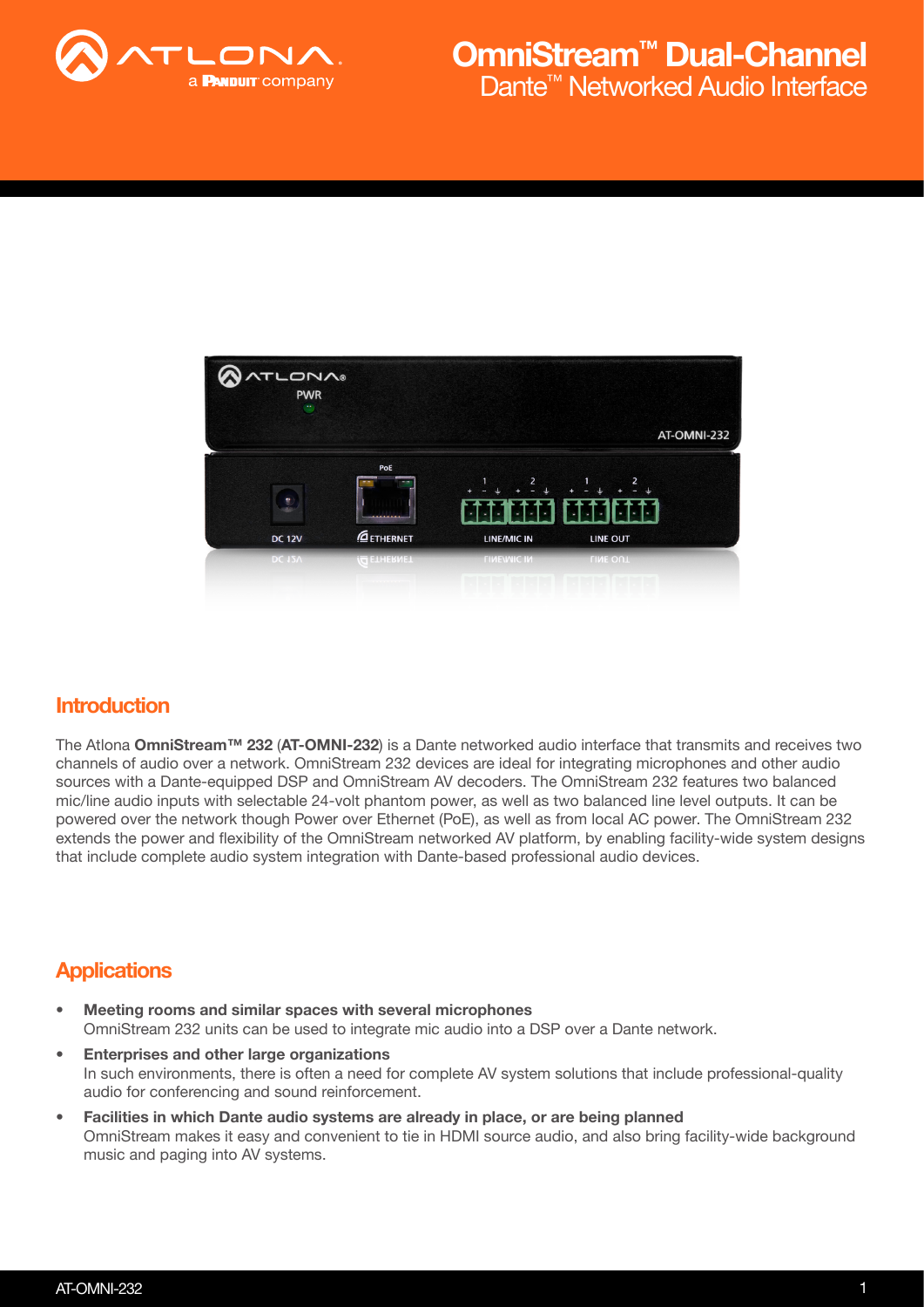



### **Introduction**

The Atlona OmniStream™ 232 (AT-OMNI-232) is a Dante networked audio interface that transmits and receives two channels of audio over a network. OmniStream 232 devices are ideal for integrating microphones and other audio sources with a Dante-equipped DSP and OmniStream AV decoders. The OmniStream 232 features two balanced mic/line audio inputs with selectable 24-volt phantom power, as well as two balanced line level outputs. It can be powered over the network though Power over Ethernet (PoE), as well as from local AC power. The OmniStream 232 extends the power and flexibility of the OmniStream networked AV platform, by enabling facility-wide system designs that include complete audio system integration with Dante-based professional audio devices.

### **Applications**

- Meeting rooms and similar spaces with several microphones OmniStream 232 units can be used to integrate mic audio into a DSP over a Dante network.
- Enterprises and other large organizations In such environments, there is often a need for complete AV system solutions that include professional-quality audio for conferencing and sound reinforcement.
- Facilities in which Dante audio systems are already in place, or are being planned OmniStream makes it easy and convenient to tie in HDMI source audio, and also bring facility-wide background music and paging into AV systems.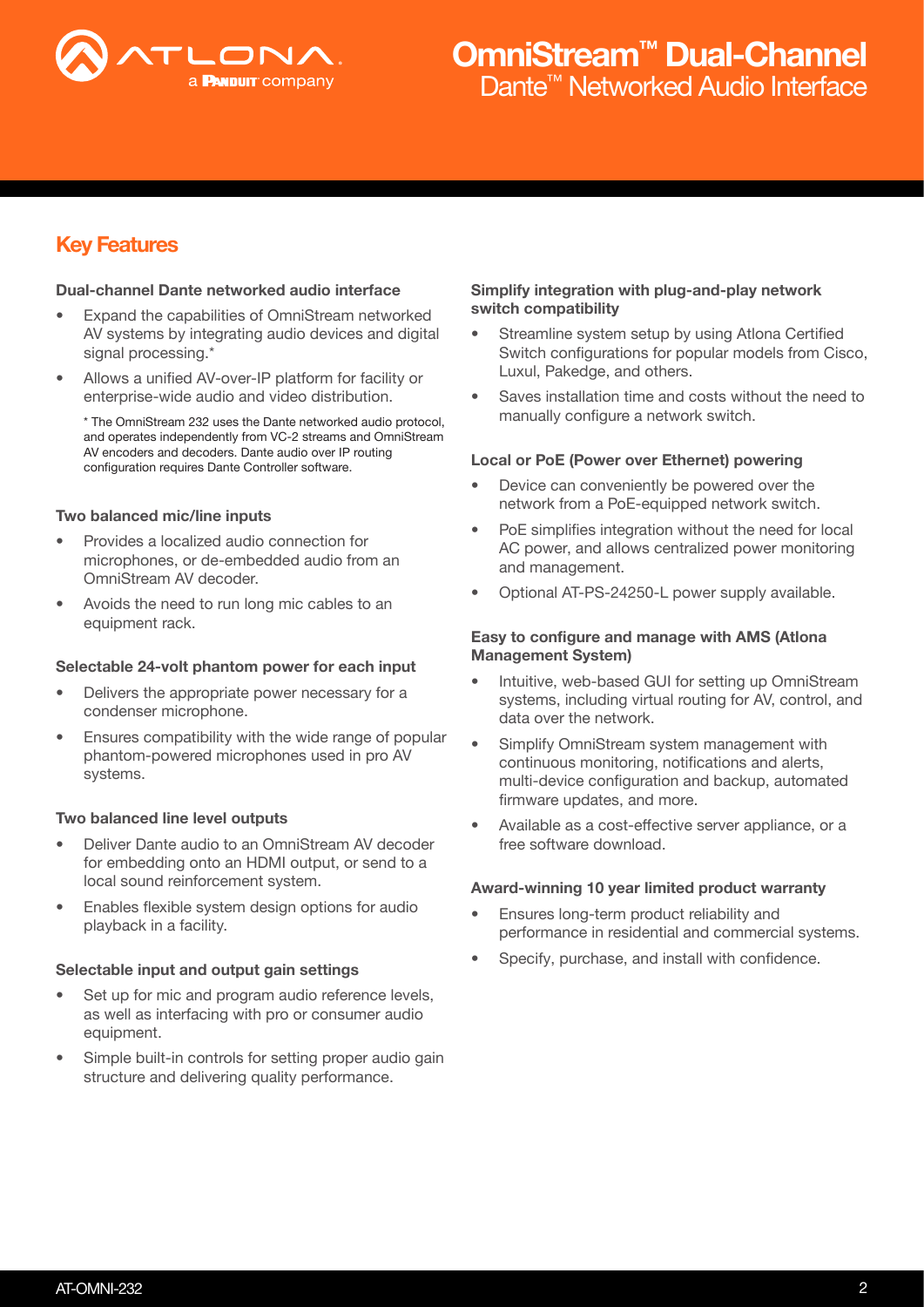

# Dante<sup>™</sup> Networked Audio Interface OmniStream™ Dual-Channel

## Key Features

#### Dual-channel Dante networked audio interface

- Expand the capabilities of OmniStream networked AV systems by integrating audio devices and digital signal processing.\*
- Allows a unified AV-over-IP platform for facility or enterprise-wide audio and video distribution.

\* The OmniStream 232 uses the Dante networked audio protocol, and operates independently from VC-2 streams and OmniStream AV encoders and decoders. Dante audio over IP routing configuration requires Dante Controller software.

#### Two balanced mic/line inputs

- Provides a localized audio connection for microphones, or de-embedded audio from an OmniStream AV decoder.
- Avoids the need to run long mic cables to an equipment rack.

#### Selectable 24-volt phantom power for each input

- Delivers the appropriate power necessary for a condenser microphone.
- Ensures compatibility with the wide range of popular phantom-powered microphones used in pro AV systems.

#### Two balanced line level outputs

- Deliver Dante audio to an OmniStream AV decoder for embedding onto an HDMI output, or send to a local sound reinforcement system.
- Enables flexible system design options for audio playback in a facility.

#### Selectable input and output gain settings

- Set up for mic and program audio reference levels, as well as interfacing with pro or consumer audio equipment.
- Simple built-in controls for setting proper audio gain structure and delivering quality performance.

#### Simplify integration with plug-and-play network switch compatibility

- Streamline system setup by using Atlona Certified Switch configurations for popular models from Cisco, Luxul, Pakedge, and others.
- Saves installation time and costs without the need to manually configure a network switch.

#### Local or PoE (Power over Ethernet) powering

- Device can conveniently be powered over the network from a PoE-equipped network switch.
- PoE simplifies integration without the need for local AC power, and allows centralized power monitoring and management.
- Optional AT-PS-24250-L power supply available.

#### Easy to configure and manage with AMS (Atlona Management System)

- Intuitive, web-based GUI for setting up OmniStream systems, including virtual routing for AV, control, and data over the network.
- Simplify OmniStream system management with continuous monitoring, notifications and alerts, multi-device configuration and backup, automated firmware updates, and more.
- Available as a cost-effective server appliance, or a free software download.

#### Award-winning 10 year limited product warranty

- Ensures long-term product reliability and performance in residential and commercial systems.
- Specify, purchase, and install with confidence.